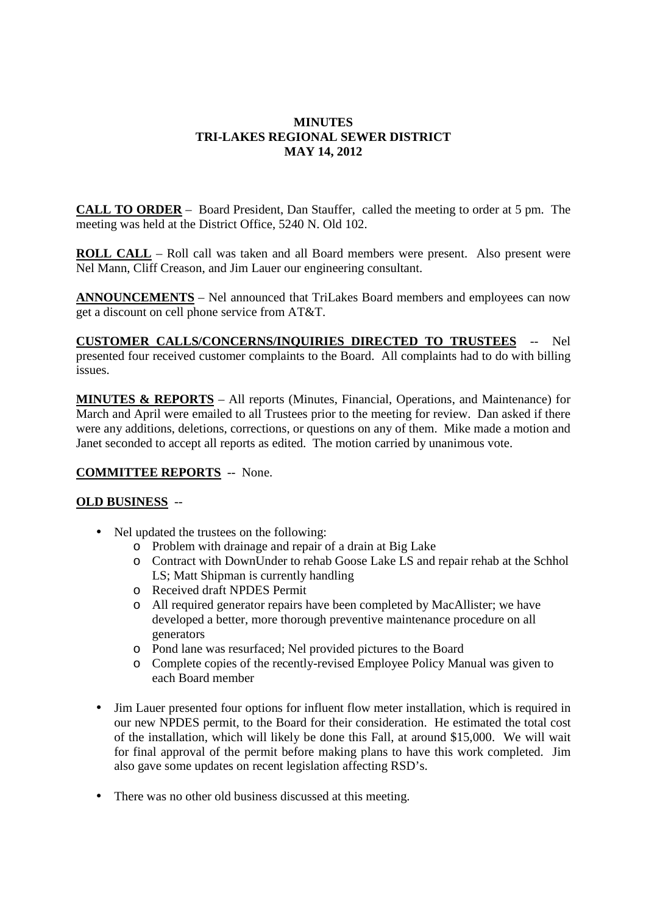## **MINUTES TRI-LAKES REGIONAL SEWER DISTRICT MAY 14, 2012**

**CALL TO ORDER** – Board President, Dan Stauffer, called the meeting to order at 5 pm. The meeting was held at the District Office, 5240 N. Old 102.

**ROLL CALL** – Roll call was taken and all Board members were present. Also present were Nel Mann, Cliff Creason, and Jim Lauer our engineering consultant.

**ANNOUNCEMENTS** – Nel announced that TriLakes Board members and employees can now get a discount on cell phone service from AT&T.

**CUSTOMER CALLS/CONCERNS/INQUIRIES DIRECTED TO TRUSTEES** -- Nel presented four received customer complaints to the Board. All complaints had to do with billing issues.

**MINUTES & REPORTS** – All reports (Minutes, Financial, Operations, and Maintenance) for March and April were emailed to all Trustees prior to the meeting for review. Dan asked if there were any additions, deletions, corrections, or questions on any of them. Mike made a motion and Janet seconded to accept all reports as edited. The motion carried by unanimous vote.

## **COMMITTEE REPORTS** -- None.

## **OLD BUSINESS** --

- Nel updated the trustees on the following:
	- o Problem with drainage and repair of a drain at Big Lake
	- o Contract with DownUnder to rehab Goose Lake LS and repair rehab at the Schhol LS; Matt Shipman is currently handling
	- o Received draft NPDES Permit
	- o All required generator repairs have been completed by MacAllister; we have developed a better, more thorough preventive maintenance procedure on all generators
	- o Pond lane was resurfaced; Nel provided pictures to the Board
	- o Complete copies of the recently-revised Employee Policy Manual was given to each Board member
- Jim Lauer presented four options for influent flow meter installation, which is required in our new NPDES permit, to the Board for their consideration. He estimated the total cost of the installation, which will likely be done this Fall, at around \$15,000. We will wait for final approval of the permit before making plans to have this work completed. Jim also gave some updates on recent legislation affecting RSD's.
- There was no other old business discussed at this meeting.